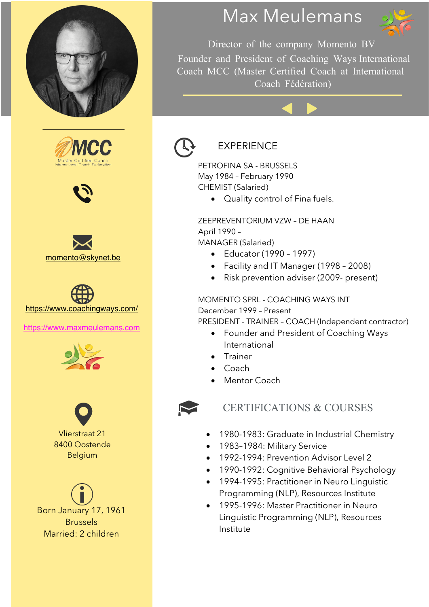









https://www.maxmeulemans.com





Born January 17, 1961 Brussels Married: 2 children

# Max Meulemans



Director of the company Momento BV

Founder and President of Coaching Ways International Coach MCC (Master Certified Coach at International Coach Fédération)



### EXPERIENCE

PETROFINA SA - BRUSSELS May 1984 – February 1990 CHEMIST (Salaried)

• Quality control of Fina fuels.

ZEEPREVENTORIUM VZW – DE HAAN April 1990 – MANAGER (Salaried)

- Educator (1990 1997)
- Facility and IT Manager (1998 2008)
- Risk prevention adviser (2009- present)

MOMENTO SPRL - COACHING WAYS INT

December 1999 – Present PRESIDENT - TRAINER – COACH (Independent contractor)

- Founder and President of Coaching Ways International
- Trainer
- Coach
- Mentor Coach



### CERTIFICATIONS & COURSES

- 1980-1983: Graduate in Industrial Chemistry
- 1983–1984: Military Service
- 1992-1994: Prevention Advisor Level 2
- 1990-1992: Cognitive Behavioral Psychology
- 1994-1995: Practitioner in Neuro Linguistic Programming (NLP), Resources Institute
- 1995-1996: Master Practitioner in Neuro Linguistic Programming (NLP), Resources Institute